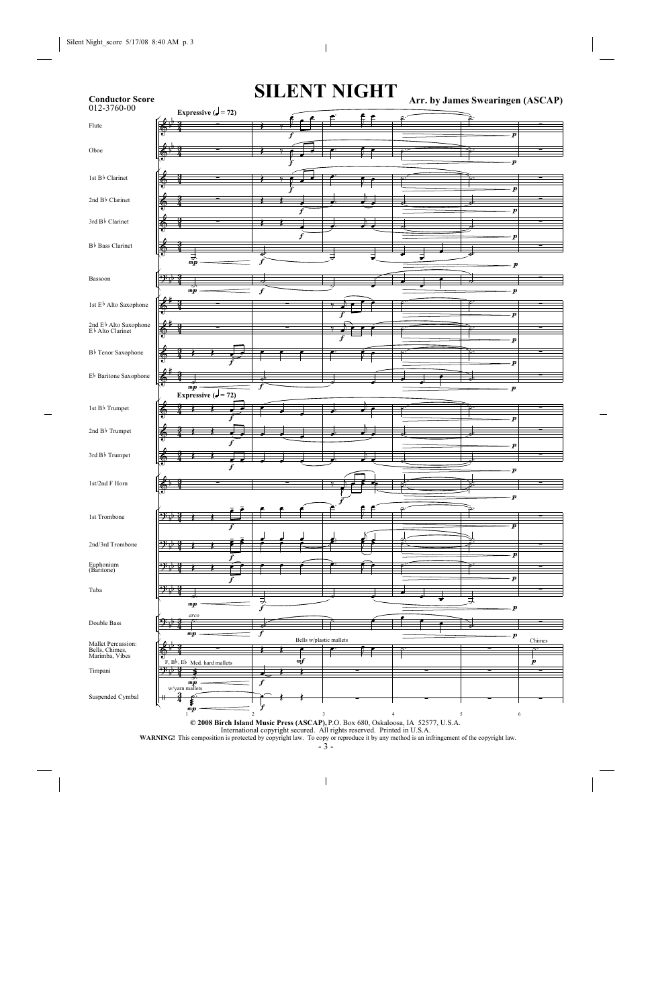## **Conductor Score SILENT NIGHT Arr. by James Swearingen (ASCAP)**

| 012-3760-00                                                                      |                                                                                        |                  |     |                         |                      |                          | AIT. by Jailles Sweaftingell (ASCAF) |
|----------------------------------------------------------------------------------|----------------------------------------------------------------------------------------|------------------|-----|-------------------------|----------------------|--------------------------|--------------------------------------|
|                                                                                  | Expressive $\left(\right)$ = 72)                                                       |                  |     |                         |                      |                          |                                      |
| Flute                                                                            |                                                                                        |                  |     |                         |                      |                          |                                      |
|                                                                                  |                                                                                        |                  | f   |                         |                      |                          | $\boldsymbol{p}$                     |
|                                                                                  |                                                                                        |                  |     |                         |                      |                          |                                      |
| $\rm Oboe$                                                                       |                                                                                        |                  |     |                         |                      |                          |                                      |
|                                                                                  |                                                                                        |                  |     |                         |                      |                          | $\mathbf{p}$                         |
|                                                                                  |                                                                                        |                  |     |                         |                      |                          |                                      |
| 1st B <sub>b</sub> Clarinet                                                      |                                                                                        |                  |     |                         |                      |                          |                                      |
|                                                                                  |                                                                                        |                  |     |                         |                      |                          | $\cdot$ $\boldsymbol{p}$             |
|                                                                                  |                                                                                        |                  |     |                         |                      |                          |                                      |
| 2nd B <sub>b</sub> Clarinet                                                      |                                                                                        |                  |     |                         |                      |                          |                                      |
|                                                                                  |                                                                                        |                  |     |                         |                      |                          | $\cdot$ $\boldsymbol{p}$             |
| 3rd B $\flat$ Clarinet                                                           |                                                                                        |                  |     |                         |                      |                          |                                      |
|                                                                                  |                                                                                        |                  |     |                         |                      |                          |                                      |
|                                                                                  |                                                                                        |                  | f   |                         |                      |                          | $\cdot$ $\boldsymbol{p}$             |
| B <sub>b</sub> Bass Clarinet                                                     | €                                                                                      |                  |     |                         |                      |                          |                                      |
|                                                                                  |                                                                                        | Ó                |     |                         | $\overline{\bullet}$ |                          |                                      |
|                                                                                  | र्चे.<br>mp                                                                            |                  |     |                         |                      |                          | - <b>p</b>                           |
|                                                                                  |                                                                                        |                  |     |                         |                      |                          |                                      |
| Bassoon                                                                          | ᠊ᡐᡱ                                                                                    |                  |     |                         |                      |                          |                                      |
|                                                                                  | mp                                                                                     |                  |     |                         |                      |                          | $\boldsymbol{p}$                     |
|                                                                                  |                                                                                        |                  |     |                         |                      |                          |                                      |
| 1st E <sup>b</sup> Alto Saxophone                                                |                                                                                        |                  |     |                         |                      |                          |                                      |
|                                                                                  |                                                                                        |                  |     |                         |                      |                          | $\boldsymbol{p}$                     |
|                                                                                  |                                                                                        |                  |     |                         |                      |                          |                                      |
| $2$ nd E $\flat$ Alto Saxophone E $\flat$ Alto Clarinet                          |                                                                                        |                  |     |                         |                      |                          |                                      |
|                                                                                  |                                                                                        |                  |     |                         |                      | $\cdot$ $\boldsymbol{p}$ |                                      |
|                                                                                  |                                                                                        |                  |     |                         |                      |                          |                                      |
| $\mathbf{B}^{\,\flat}$ Tenor Saxophone                                           | -0                                                                                     |                  |     |                         |                      |                          |                                      |
|                                                                                  |                                                                                        |                  |     |                         |                      |                          | $\boldsymbol{p}$                     |
| $\mathrm{E}^{\,\mathsf{b}}$ Baritone Saxophone                                   |                                                                                        |                  |     |                         |                      |                          |                                      |
|                                                                                  |                                                                                        |                  |     |                         |                      |                          |                                      |
|                                                                                  | $\bar{mp}$                                                                             |                  |     |                         |                      |                          | $\mathbf{p}$                         |
|                                                                                  | <b>Expressive (<math>\bullet</math></b> = 72)                                          |                  |     |                         |                      |                          |                                      |
| $1$ st B $\flat$ Trumpet                                                         |                                                                                        |                  |     |                         |                      |                          |                                      |
|                                                                                  |                                                                                        |                  |     |                         |                      |                          | $\boldsymbol{p}$                     |
|                                                                                  |                                                                                        |                  |     |                         |                      |                          |                                      |
| 2nd B $\flat$ Trumpet                                                            |                                                                                        |                  |     |                         |                      |                          |                                      |
|                                                                                  |                                                                                        |                  |     |                         |                      |                          |                                      |
|                                                                                  |                                                                                        |                  |     |                         |                      |                          | $\cdot$ $\boldsymbol{p}$             |
| 3rd B <sub>b</sub> Trumpet                                                       |                                                                                        |                  |     |                         |                      |                          |                                      |
|                                                                                  |                                                                                        |                  |     |                         |                      |                          |                                      |
|                                                                                  |                                                                                        |                  |     |                         |                      |                          | P                                    |
| 1st/2nd F Horn                                                                   |                                                                                        |                  |     |                         |                      |                          |                                      |
|                                                                                  |                                                                                        |                  |     |                         |                      |                          |                                      |
|                                                                                  |                                                                                        |                  |     |                         |                      |                          | $\boldsymbol{p}$                     |
|                                                                                  |                                                                                        |                  |     |                         | Ο                    | o.                       |                                      |
| 1st Trombone                                                                     | 9.5                                                                                    |                  |     |                         |                      |                          |                                      |
|                                                                                  | $\overline{f}$                                                                         |                  |     |                         |                      |                          | $\overline{\boldsymbol{p}}$          |
|                                                                                  |                                                                                        |                  |     |                         |                      |                          |                                      |
| 2nd/3rd Trombone                                                                 | <del>9</del><br>τD                                                                     |                  |     |                         |                      |                          |                                      |
|                                                                                  |                                                                                        |                  |     |                         |                      |                          |                                      |
|                                                                                  |                                                                                        |                  |     |                         |                      |                          | $\boldsymbol{p}$                     |
| Euphonium<br>(Baritone)                                                          | Ð<br>$\overline{p}$                                                                    |                  |     |                         |                      |                          |                                      |
|                                                                                  | f                                                                                      |                  |     |                         |                      |                          | $\boldsymbol{p}$                     |
| Tuba                                                                             |                                                                                        |                  |     |                         |                      |                          |                                      |
|                                                                                  | $\mathbf{P}$                                                                           |                  |     |                         |                      |                          |                                      |
|                                                                                  | $\boldsymbol{m}\boldsymbol{p}$                                                         | ಶ                |     |                         |                      |                          |                                      |
|                                                                                  |                                                                                        |                  |     |                         |                      |                          | - p                                  |
|                                                                                  | $\mathit{arco}$                                                                        |                  |     |                         |                      |                          |                                      |
|                                                                                  | $9\frac{1}{2}$                                                                         |                  |     |                         |                      |                          |                                      |
|                                                                                  |                                                                                        | $\boldsymbol{f}$ |     |                         |                      |                          | $\boldsymbol{p}$                     |
|                                                                                  | $\boldsymbol{m}\boldsymbol{p}$                                                         |                  |     | Bells w/plastic mallets |                      |                          | ${\it Chinese}$                      |
|                                                                                  |                                                                                        |                  |     |                         |                      |                          | ₽                                    |
|                                                                                  |                                                                                        |                  |     |                         |                      |                          |                                      |
|                                                                                  | ु                                                                                      |                  | m f |                         |                      |                          | $\boldsymbol{p}$                     |
|                                                                                  | F, Bb, Eb Med. hard mallets                                                            |                  |     |                         |                      |                          |                                      |
|                                                                                  | うしら<br>Э                                                                               |                  |     |                         |                      |                          |                                      |
| Double Bass<br>Mallet Percussion:<br>Bells, Chimes,<br>Marimba, Vibes<br>Timpani |                                                                                        | $\boldsymbol{f}$ |     |                         |                      |                          |                                      |
|                                                                                  | $\frac{mp}{m}$<br>3                                                                    |                  |     |                         |                      |                          |                                      |
| Suspended Cymbal                                                                 | 4<br>$\begin{array}{c}\n\stackrel{\textstyle{1}{\cancel{p}}}{\cancel{p}}\n\end{array}$ | $\boldsymbol{f}$ |     |                         |                      |                          |                                      |

© 2008 Birch Island Music Press (ASCAP), P.O. Box 680, Oskaloosa, IA 52577, U.S.A. International copyright secured. All rights reserved. Printed in U.S.A. **© 2008 Birch Island Music Press (ASCAP),**

**WARNING!** This composition is protected by copyright law. To copy or reproduce it by any method is an infringement of the copyright law.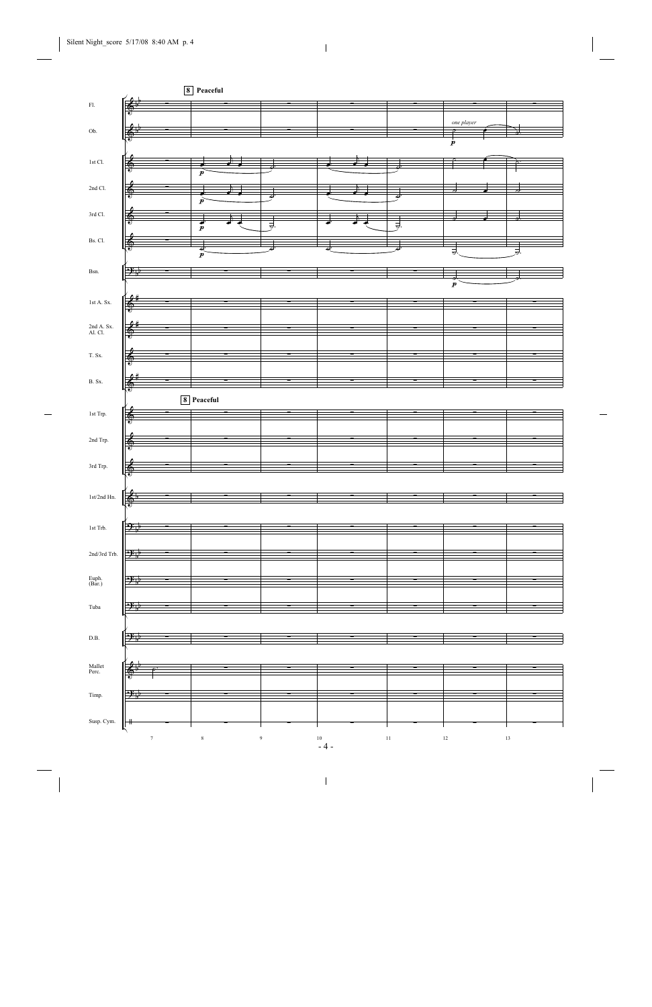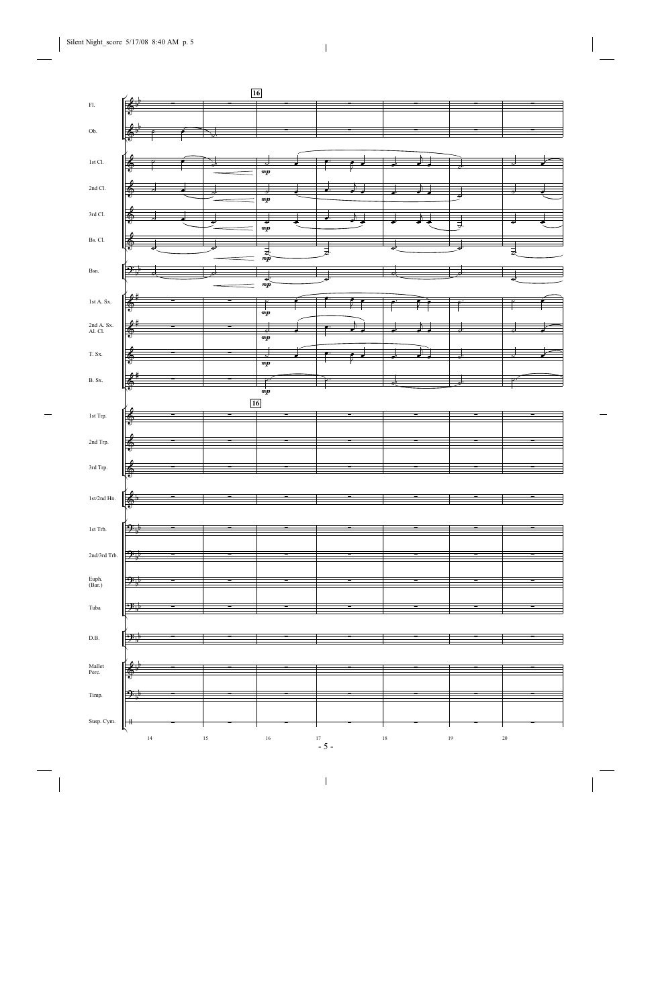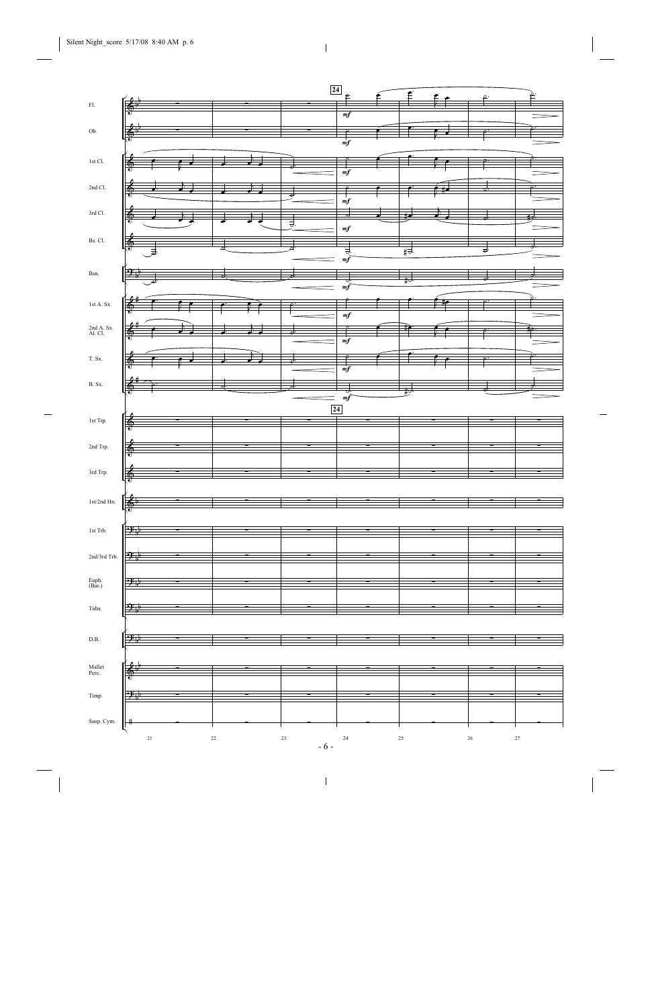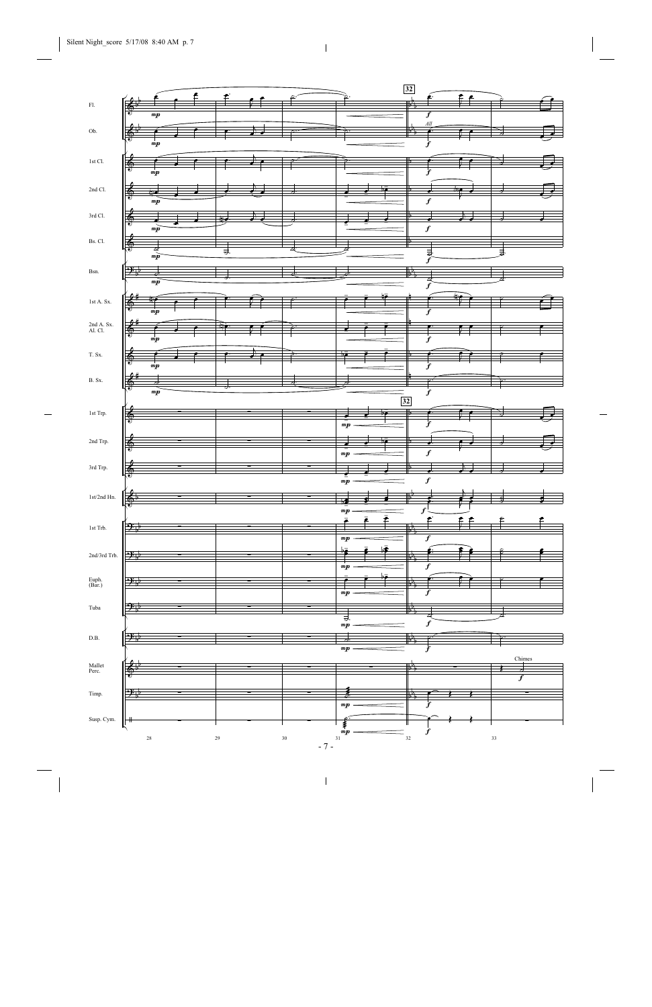![](_page_4_Figure_0.jpeg)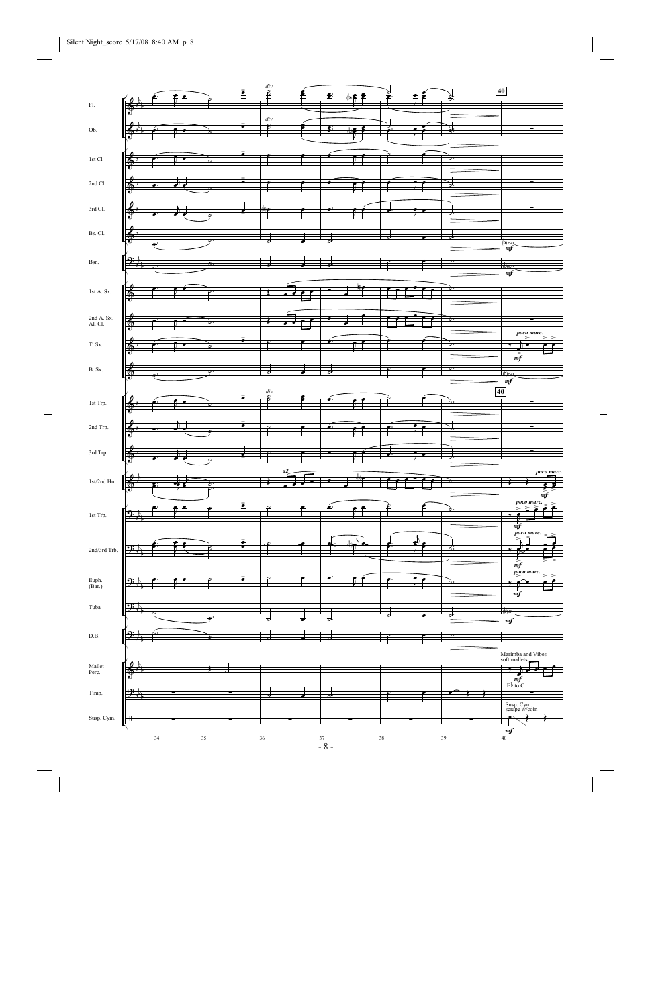![](_page_5_Figure_0.jpeg)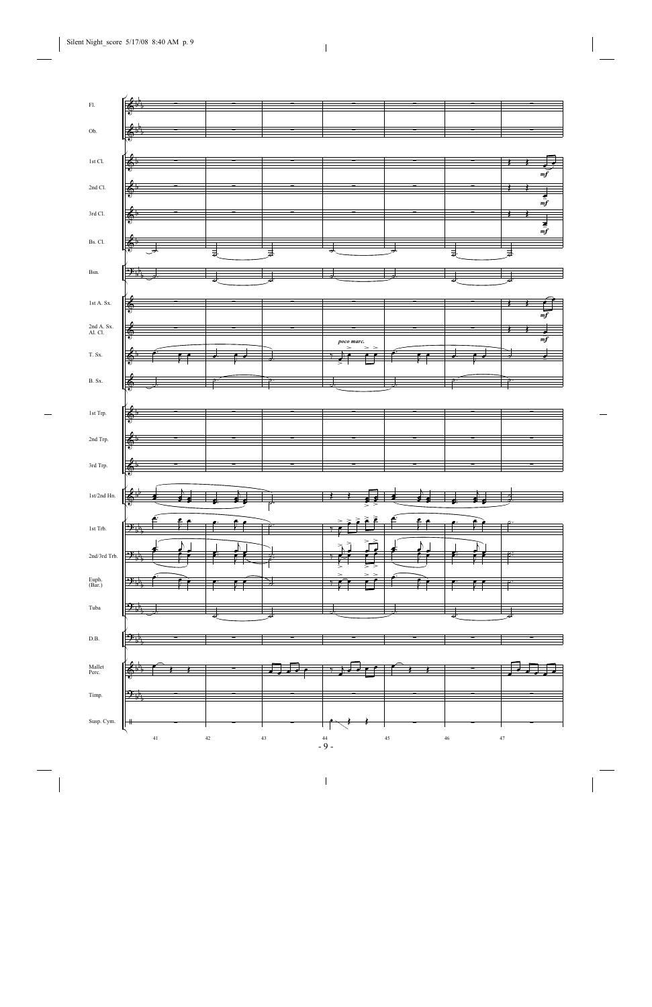![](_page_6_Figure_0.jpeg)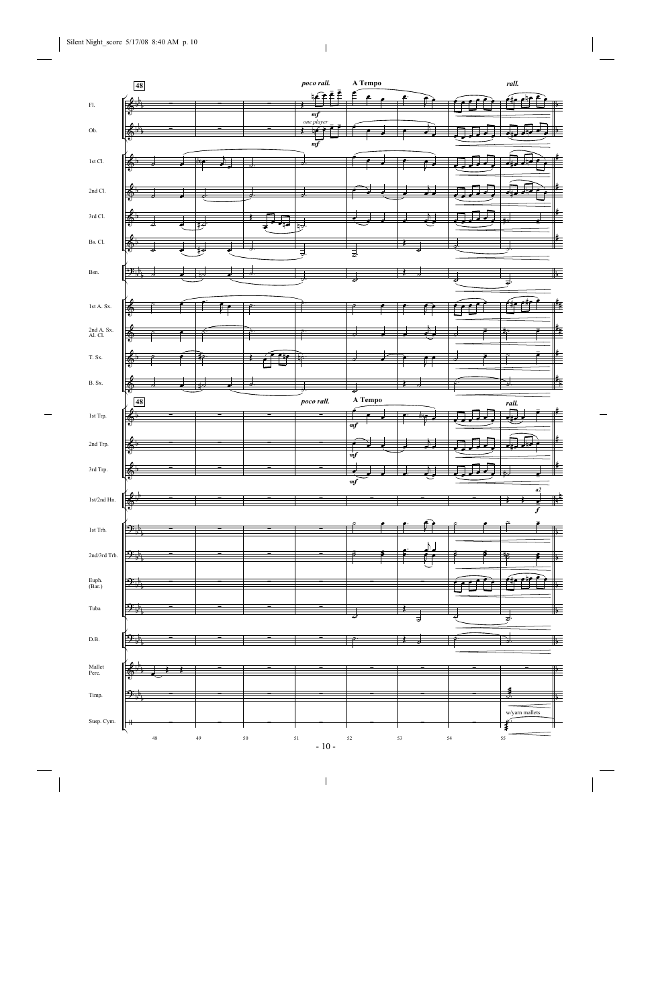![](_page_7_Figure_0.jpeg)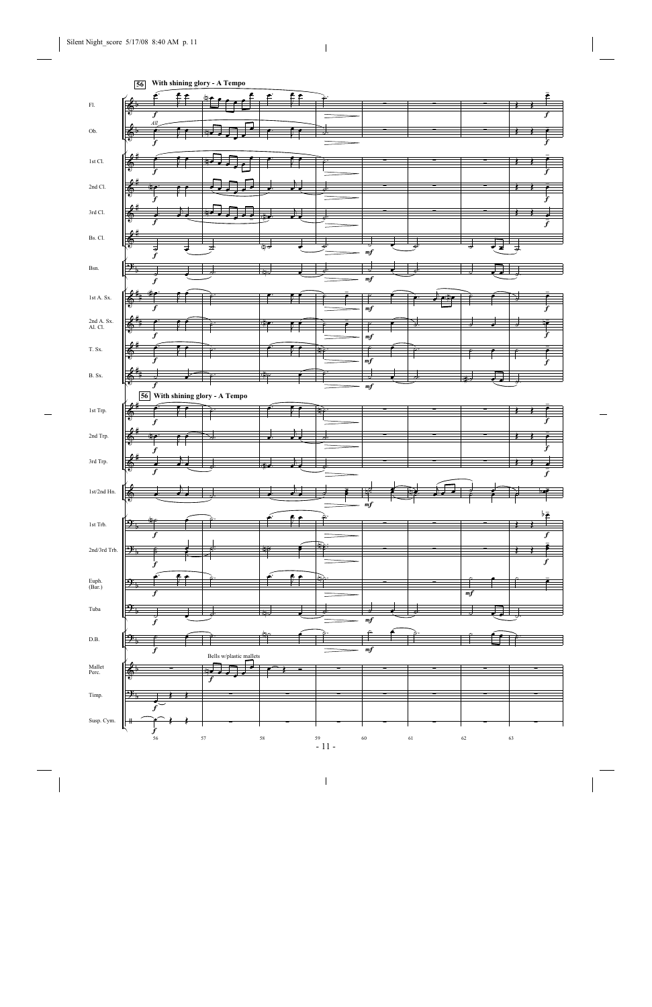![](_page_8_Figure_0.jpeg)

- 11 -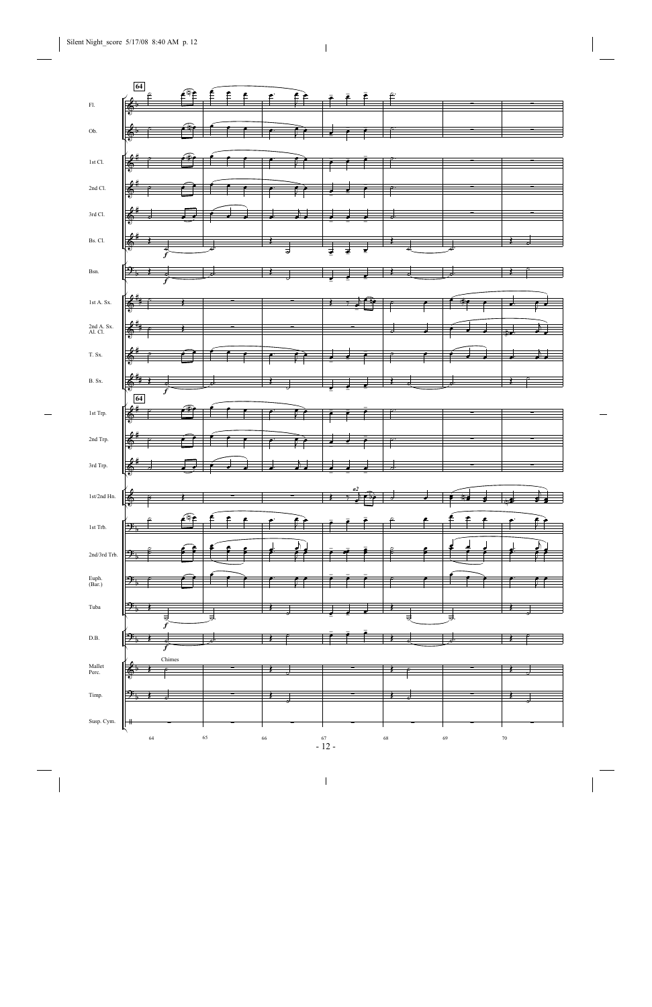![](_page_9_Figure_0.jpeg)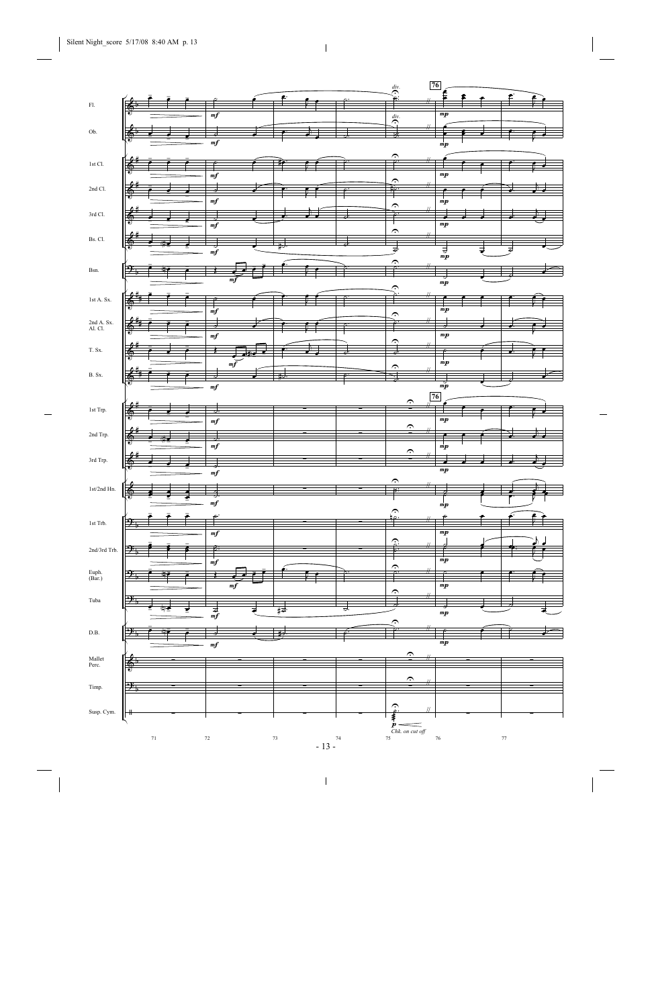![](_page_10_Figure_0.jpeg)